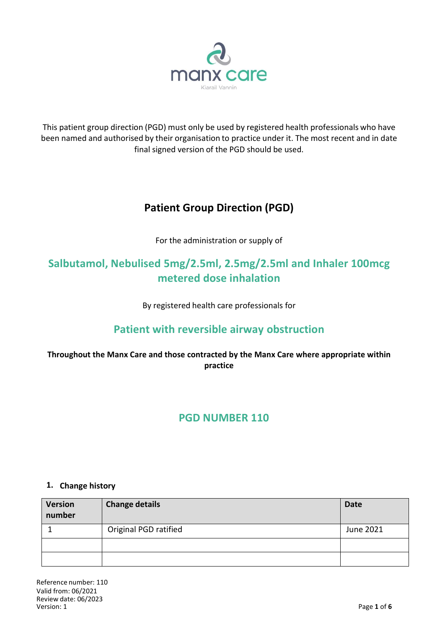

This patient group direction (PGD) must only be used by registered health professionals who have been named and authorised by their organisation to practice under it. The most recent and in date final signed version of the PGD should be used.

# **Patient Group Direction (PGD)**

For the administration or supply of

# **Salbutamol, Nebulised 5mg/2.5ml, 2.5mg/2.5ml and Inhaler 100mcg metered dose inhalation**

By registered health care professionals for

# **Patient with reversible airway obstruction**

## **Throughout the Manx Care and those contracted by the Manx Care where appropriate within practice**

# **PGD NUMBER 110**

### **1. Change history**

| <b>Version</b><br>number | <b>Change details</b> | <b>Date</b> |
|--------------------------|-----------------------|-------------|
|                          | Original PGD ratified | June 2021   |
|                          |                       |             |
|                          |                       |             |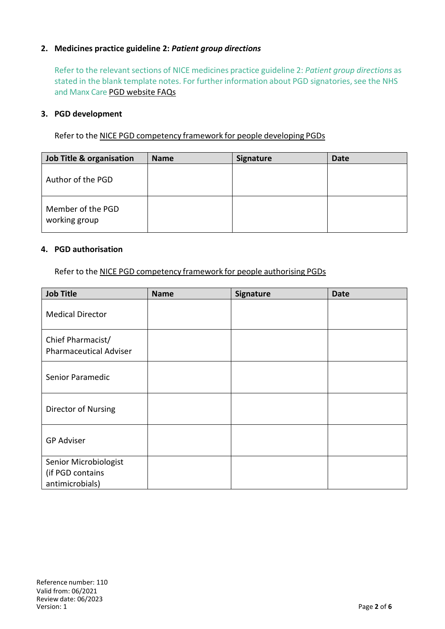#### **2. Medicines practice guideline 2:** *Patient group directions*

Refer to the relevant sections of NICE medicines practice guideline 2: *Patient group directions* as stated in the blank template notes. For further information about PGD signatories, see the NHS and Manx Care PGD website FAQs

#### **3. PGD development**

Refer to the NICE PGD competency framework for people developing PGDs

| Job Title & organisation           | <b>Name</b> | <b>Signature</b> | <b>Date</b> |
|------------------------------------|-------------|------------------|-------------|
| Author of the PGD                  |             |                  |             |
| Member of the PGD<br>working group |             |                  |             |

#### **4. PGD authorisation**

Refer to the NICE PGD competency framework for people authorising PGDs

| <b>Job Title</b>                                             | <b>Name</b> | Signature | <b>Date</b> |
|--------------------------------------------------------------|-------------|-----------|-------------|
| <b>Medical Director</b>                                      |             |           |             |
| Chief Pharmacist/<br><b>Pharmaceutical Adviser</b>           |             |           |             |
| Senior Paramedic                                             |             |           |             |
| Director of Nursing                                          |             |           |             |
| <b>GP Adviser</b>                                            |             |           |             |
| Senior Microbiologist<br>(if PGD contains<br>antimicrobials) |             |           |             |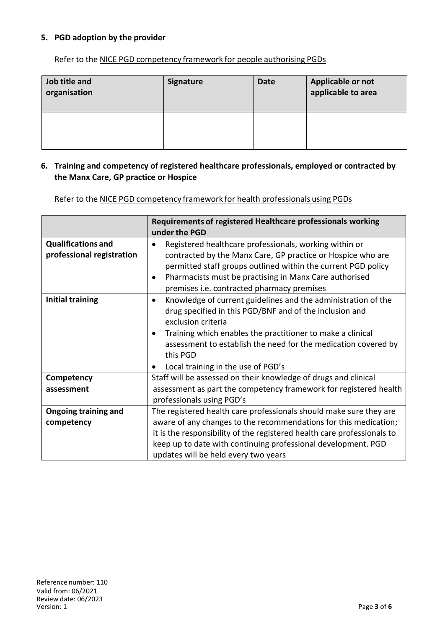#### **5. PGD adoption by the provider**

Refer to the NICE PGD competency framework for people authorising PGDs

| Job title and<br>organisation | <b>Signature</b> | <b>Date</b> | Applicable or not<br>applicable to area |
|-------------------------------|------------------|-------------|-----------------------------------------|
|                               |                  |             |                                         |

#### **6. Training and competency of registered healthcare professionals, employed or contracted by the Manx Care, GP practice or Hospice**

Refer to the NICE PGD competency framework for health professionals using PGDs

|                                                        | Requirements of registered Healthcare professionals working<br>under the PGD                                                                                                                                                                                                                                                                  |
|--------------------------------------------------------|-----------------------------------------------------------------------------------------------------------------------------------------------------------------------------------------------------------------------------------------------------------------------------------------------------------------------------------------------|
| <b>Qualifications and</b><br>professional registration | Registered healthcare professionals, working within or<br>contracted by the Manx Care, GP practice or Hospice who are<br>permitted staff groups outlined within the current PGD policy<br>Pharmacists must be practising in Manx Care authorised<br>premises i.e. contracted pharmacy premises                                                |
| <b>Initial training</b>                                | Knowledge of current guidelines and the administration of the<br>$\bullet$<br>drug specified in this PGD/BNF and of the inclusion and<br>exclusion criteria<br>Training which enables the practitioner to make a clinical<br>assessment to establish the need for the medication covered by<br>this PGD<br>Local training in the use of PGD's |
| Competency                                             | Staff will be assessed on their knowledge of drugs and clinical                                                                                                                                                                                                                                                                               |
| assessment                                             | assessment as part the competency framework for registered health<br>professionals using PGD's                                                                                                                                                                                                                                                |
| <b>Ongoing training and</b>                            | The registered health care professionals should make sure they are                                                                                                                                                                                                                                                                            |
| competency                                             | aware of any changes to the recommendations for this medication;                                                                                                                                                                                                                                                                              |
|                                                        | it is the responsibility of the registered health care professionals to                                                                                                                                                                                                                                                                       |
|                                                        | keep up to date with continuing professional development. PGD                                                                                                                                                                                                                                                                                 |
|                                                        | updates will be held every two years                                                                                                                                                                                                                                                                                                          |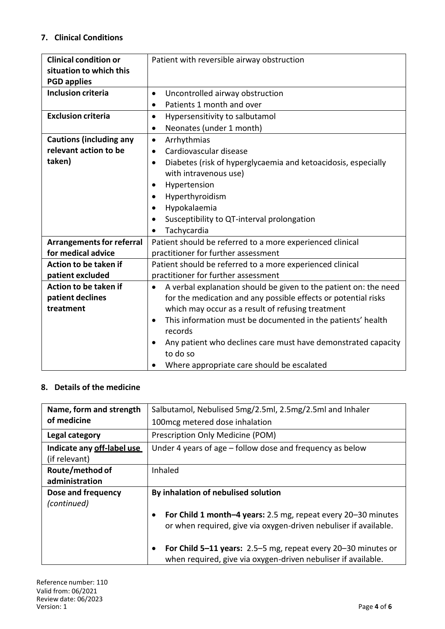## **7. Clinical Conditions**

| <b>Clinical condition or</b>     | Patient with reversible airway obstruction                                 |  |
|----------------------------------|----------------------------------------------------------------------------|--|
| situation to which this          |                                                                            |  |
| <b>PGD applies</b>               |                                                                            |  |
| <b>Inclusion criteria</b>        | Uncontrolled airway obstruction<br>$\bullet$                               |  |
|                                  | Patients 1 month and over<br>$\bullet$                                     |  |
| <b>Exclusion criteria</b>        | Hypersensitivity to salbutamol<br>$\bullet$                                |  |
|                                  | Neonates (under 1 month)<br>$\bullet$                                      |  |
| <b>Cautions (including any</b>   | Arrhythmias<br>$\bullet$                                                   |  |
| relevant action to be            | Cardiovascular disease<br>$\bullet$                                        |  |
| taken)                           | Diabetes (risk of hyperglycaemia and ketoacidosis, especially<br>$\bullet$ |  |
|                                  | with intravenous use)                                                      |  |
|                                  | Hypertension<br>$\bullet$                                                  |  |
|                                  | Hyperthyroidism<br>$\bullet$                                               |  |
|                                  | Hypokalaemia<br>$\bullet$                                                  |  |
|                                  | Susceptibility to QT-interval prolongation<br>$\bullet$                    |  |
|                                  | Tachycardia                                                                |  |
| <b>Arrangements for referral</b> | Patient should be referred to a more experienced clinical                  |  |
| for medical advice               | practitioner for further assessment                                        |  |
| Action to be taken if            | Patient should be referred to a more experienced clinical                  |  |
| patient excluded                 | practitioner for further assessment                                        |  |
| Action to be taken if            | A verbal explanation should be given to the patient on: the need           |  |
| patient declines                 | for the medication and any possible effects or potential risks             |  |
| treatment                        | which may occur as a result of refusing treatment                          |  |
|                                  | This information must be documented in the patients' health<br>$\bullet$   |  |
|                                  | records                                                                    |  |
|                                  | Any patient who declines care must have demonstrated capacity              |  |
|                                  | to do so                                                                   |  |
|                                  | Where appropriate care should be escalated<br>$\bullet$                    |  |

### **8. Details of the medicine**

| Name, form and strength    | Salbutamol, Nebulised 5mg/2.5ml, 2.5mg/2.5ml and Inhaler                                                                          |  |  |
|----------------------------|-----------------------------------------------------------------------------------------------------------------------------------|--|--|
| of medicine                | 100 mcg metered dose inhalation                                                                                                   |  |  |
| Legal category             | Prescription Only Medicine (POM)                                                                                                  |  |  |
| Indicate any off-label use | Under 4 years of age - follow dose and frequency as below                                                                         |  |  |
| (if relevant)              |                                                                                                                                   |  |  |
| Route/method of            | Inhaled                                                                                                                           |  |  |
| administration             |                                                                                                                                   |  |  |
| Dose and frequency         | By inhalation of nebulised solution                                                                                               |  |  |
| (continued)                |                                                                                                                                   |  |  |
|                            | For Child 1 month-4 years: 2.5 mg, repeat every 20-30 minutes<br>or when required, give via oxygen-driven nebuliser if available. |  |  |
|                            | For Child 5-11 years: 2.5-5 mg, repeat every 20-30 minutes or<br>when required, give via oxygen-driven nebuliser if available.    |  |  |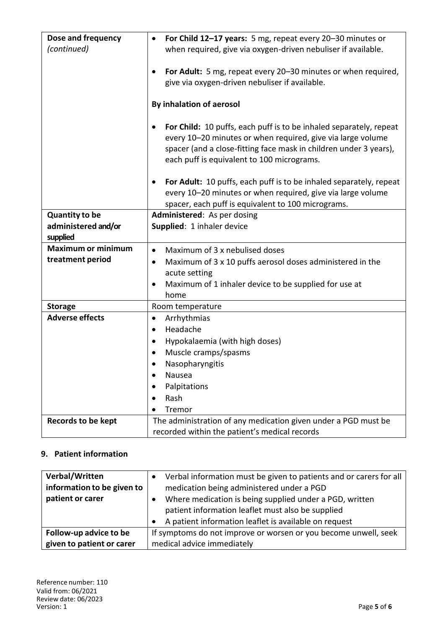| Dose and frequency        | For Child 12-17 years: 5 mg, repeat every 20-30 minutes or<br>$\bullet$                                                                                                                                                                              |  |
|---------------------------|------------------------------------------------------------------------------------------------------------------------------------------------------------------------------------------------------------------------------------------------------|--|
| (continued)               | when required, give via oxygen-driven nebuliser if available.                                                                                                                                                                                        |  |
|                           | For Adult: 5 mg, repeat every 20-30 minutes or when required,<br>give via oxygen-driven nebuliser if available.                                                                                                                                      |  |
|                           | By inhalation of aerosol                                                                                                                                                                                                                             |  |
|                           | For Child: 10 puffs, each puff is to be inhaled separately, repeat<br>every 10-20 minutes or when required, give via large volume<br>spacer (and a close-fitting face mask in children under 3 years),<br>each puff is equivalent to 100 micrograms. |  |
|                           | For Adult: 10 puffs, each puff is to be inhaled separately, repeat<br>٠<br>every 10-20 minutes or when required, give via large volume<br>spacer, each puff is equivalent to 100 micrograms.                                                         |  |
| <b>Quantity to be</b>     | Administered: As per dosing                                                                                                                                                                                                                          |  |
| administered and/or       | Supplied: 1 inhaler device                                                                                                                                                                                                                           |  |
| supplied                  |                                                                                                                                                                                                                                                      |  |
| <b>Maximum or minimum</b> | Maximum of 3 x nebulised doses<br>$\bullet$                                                                                                                                                                                                          |  |
| treatment period          | Maximum of 3 x 10 puffs aerosol doses administered in the                                                                                                                                                                                            |  |
|                           | acute setting                                                                                                                                                                                                                                        |  |
|                           | Maximum of 1 inhaler device to be supplied for use at<br>٠                                                                                                                                                                                           |  |
|                           | home                                                                                                                                                                                                                                                 |  |
| <b>Storage</b>            | Room temperature                                                                                                                                                                                                                                     |  |
| <b>Adverse effects</b>    | Arrhythmias<br>$\bullet$                                                                                                                                                                                                                             |  |
|                           | Headache<br>$\bullet$                                                                                                                                                                                                                                |  |
|                           | Hypokalaemia (with high doses)                                                                                                                                                                                                                       |  |
|                           | Muscle cramps/spasms<br>٠                                                                                                                                                                                                                            |  |
|                           | Nasopharyngitis                                                                                                                                                                                                                                      |  |
|                           | Nausea<br>$\bullet$                                                                                                                                                                                                                                  |  |
|                           | Palpitations                                                                                                                                                                                                                                         |  |
|                           | Rash                                                                                                                                                                                                                                                 |  |
|                           | Tremor                                                                                                                                                                                                                                               |  |
| <b>Records to be kept</b> | The administration of any medication given under a PGD must be                                                                                                                                                                                       |  |
|                           | recorded within the patient's medical records                                                                                                                                                                                                        |  |

## **9. Patient information**

| Verbal/Written<br>information to be given to<br>patient or carer | Verbal information must be given to patients and or carers for all<br>medication being administered under a PGD<br>Where medication is being supplied under a PGD, written<br>patient information leaflet must also be supplied<br>A patient information leaflet is available on request |
|------------------------------------------------------------------|------------------------------------------------------------------------------------------------------------------------------------------------------------------------------------------------------------------------------------------------------------------------------------------|
| Follow-up advice to be                                           | If symptoms do not improve or worsen or you become unwell, seek                                                                                                                                                                                                                          |
| given to patient or carer                                        | medical advice immediately                                                                                                                                                                                                                                                               |